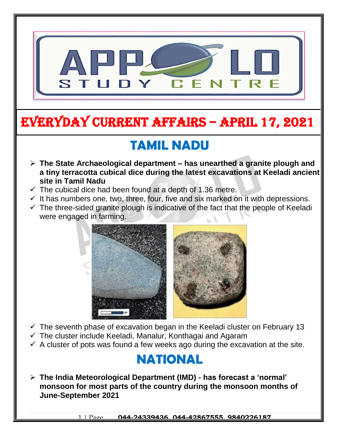

# EVERYDAY CURRENT AFFAIRS – APRIL 17, 2021

# **TAMIL NADU**

- **The State Archaeological department – has unearthed a granite plough and a tiny terracotta cubical dice during the latest excavations at Keeladi ancient site in Tamil Nadu**
- $\checkmark$  The cubical dice had been found at a depth of 1.36 metre.

-

- $\checkmark$  It has numbers one, two, three, four, five and six marked on it with depressions.
- $\checkmark$  The three-sided granite plough is indicative of the fact that the people of Keeladi were engaged in farming.



- $\checkmark$  The seventh phase of excavation began in the Keeladi cluster on February 13
- $\checkmark$  The cluster include Keeladi, Manalur, Konthagai and Agaram
- $\checkmark$  A cluster of pots was found a few weeks ago during the excavation at the site.

## **NATIONAL**

 **The India Meteorological Department (IMD) - has forecast a 'normal' monsoon for most parts of the country during the monsoon months of June-September 2021**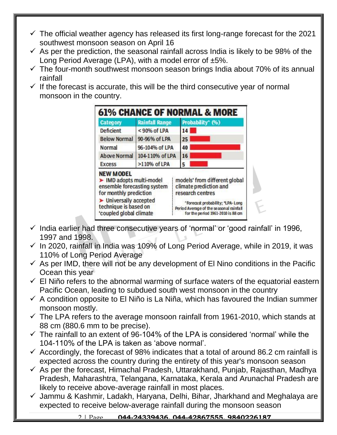- $\checkmark$  The official weather agency has released its first long-range forecast for the 2021 southwest monsoon season on April 16
- $\checkmark$  As per the prediction, the seasonal rainfall across India is likely to be 98% of the Long Period Average (LPA), with a model error of ±5%.
- $\checkmark$  The four-month southwest monsoon season brings India about 70% of its annual rainfall
- $\checkmark$  If the forecast is accurate, this will be the third consecutive year of normal monsoon in the country.



- $\checkmark$  India earlier had three consecutive years of 'normal' or 'good rainfall' in 1996, 1997 and 1998.
- $\checkmark$  In 2020, rainfall in India was 109% of Long Period Average, while in 2019, it was 110% of Long Period Average
- $\checkmark$  As per IMD, there will not be any development of El Nino conditions in the Pacific Ocean this year
- $\checkmark$  El Niño refers to the abnormal warming of surface waters of the equatorial eastern Pacific Ocean, leading to subdued south west monsoon in the country
- $\checkmark$  A condition opposite to El Niño is La Niña, which has favoured the Indian summer monsoon mostly.
- $\checkmark$  The LPA refers to the average monsoon rainfall from 1961-2010, which stands at 88 cm (880.6 mm to be precise).
- $\checkmark$  The rainfall to an extent of 96-104% of the LPA is considered 'normal' while the 104-110% of the LPA is taken as 'above normal'.
- $\checkmark$  Accordingly, the forecast of 98% indicates that a total of around 86.2 cm rainfall is expected across the country during the entirety of this year's monsoon season
- $\checkmark$  As per the forecast, Himachal Pradesh, Uttarakhand, Punjab, Rajasthan, Madhya Pradesh, Maharashtra, Telangana, Karnataka, Kerala and Arunachal Pradesh are likely to receive above-average rainfall in most places.
- $\checkmark$  Jammu & Kashmir, Ladakh, Haryana, Delhi, Bihar, Jharkhand and Meghalaya are expected to receive below-average rainfall during the monsoon season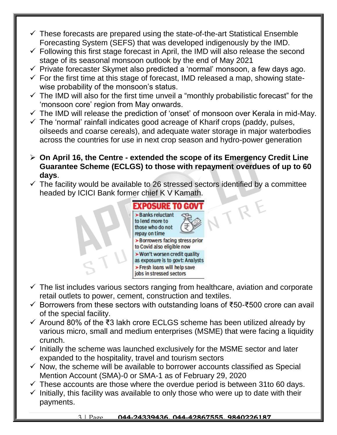- $\checkmark$  These forecasts are prepared using the state-of-the-art Statistical Ensemble Forecasting System (SEFS) that was developed indigenously by the IMD.
- $\checkmark$  Following this first stage forecast in April, the IMD will also release the second stage of its seasonal monsoon outlook by the end of May 2021
- $\checkmark$  Private forecaster Skymet also predicted a 'normal' monsoon, a few days ago.
- $\checkmark$  For the first time at this stage of forecast, IMD released a map, showing statewise probability of the monsoon's status.
- $\checkmark$  The IMD will also for the first time unveil a "monthly probabilistic forecast" for the 'monsoon core' region from May onwards.
- $\checkmark$  The IMD will release the prediction of 'onset' of monsoon over Kerala in mid-May.
- $\checkmark$  The 'normal' rainfall indicates good acreage of Kharif crops (paddy, pulses, oilseeds and coarse cereals), and adequate water storage in major waterbodies across the countries for use in next crop season and hydro-power generation
- **On April 16, the Centre - extended the scope of its Emergency Credit Line Guarantee Scheme (ECLGS) to those with repayment overdues of up to 60 days**.
- $\checkmark$  The facility would be available to 26 stressed sectors identified by a committee headed by ICICI Bank former chief K V Kamath. VTRE

| repay on time | Banks reluctant<br>to lend more to<br>those who do not  |                                  |
|---------------|---------------------------------------------------------|----------------------------------|
|               | to Covid also eligible now                              | >Borrowers facing stress prior   |
|               | > Won't worsen credit quality                           | as exposure is to govt: Analysts |
|               | >Fresh loans will help save<br>jobs in stressed sectors |                                  |

- $\checkmark$  The list includes various sectors ranging from healthcare, aviation and corporate retail outlets to power, cement, construction and textiles.
- Borrowers from these sectors with outstanding loans of ₹50-₹500 crore can avail of the special facility.
- Around 80% of the ₹3 lakh crore ECLGS scheme has been utilized already by various micro, small and medium enterprises (MSME) that were facing a liquidity crunch.
- $\checkmark$  Initially the scheme was launched exclusively for the MSME sector and later expanded to the hospitality, travel and tourism sectors
- $\checkmark$  Now, the scheme will be available to borrower accounts classified as Special Mention Account (SMA)-0 or SMA-1 as of February 29, 2020
- $\checkmark$  These accounts are those where the overdue period is between 31to 60 days.
- $\checkmark$  Initially, this facility was available to only those who were up to date with their payments.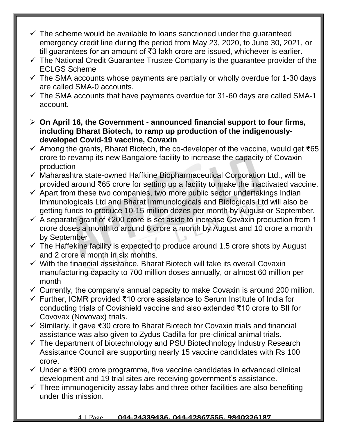- $\checkmark$  The scheme would be available to loans sanctioned under the quaranteed emergency credit line during the period from May 23, 2020, to June 30, 2021, or till guarantees for an amount of ₹3 lakh crore are issued, whichever is earlier.
- $\checkmark$  The National Credit Guarantee Trustee Company is the guarantee provider of the ECLGS Scheme
- $\checkmark$  The SMA accounts whose payments are partially or wholly overdue for 1-30 days are called SMA-0 accounts.
- $\checkmark$  The SMA accounts that have payments overdue for 31-60 days are called SMA-1 account.
- **On April 16, the Government - announced financial support to four firms, including Bharat Biotech, to ramp up production of the indigenouslydeveloped Covid-19 vaccine, Covaxin**
- $\checkmark$  Among the grants, Bharat Biotech, the co-developer of the vaccine, would get  $\check{\tau}$ 65 crore to revamp its new Bangalore facility to increase the capacity of Covaxin production
- $\checkmark$  Maharashtra state-owned Haffkine Biopharmaceutical Corporation Ltd., will be provided around ₹65 crore for setting up a facility to make the inactivated vaccine.
- $\checkmark$  Apart from these two companies, two more public sector undertakings Indian Immunologicals Ltd and Bharat Immunologicals and Biologicals Ltd will also be getting funds to produce 10-15 million dozes per month by August or September.
- A separate grant of ₹200 crore is set aside to increase Covaxin production from 1 crore doses a month to around 6 crore a month by August and 10 crore a month by September
- $\checkmark$  The Haffekine facility is expected to produce around 1.5 crore shots by August and 2 crore a month in six months.
- $\checkmark$  With the financial assistance, Bharat Biotech will take its overall Covaxin manufacturing capacity to 700 million doses annually, or almost 60 million per month
- $\checkmark$  Currently, the company's annual capacity to make Covaxin is around 200 million.
- Further, ICMR provided ₹10 crore assistance to Serum Institute of India for conducting trials of Covishield vaccine and also extended ₹10 crore to SII for Covovax (Novovax) trials.
- Similarly, it gave ₹30 crore to Bharat Biotech for Covaxin trials and financial assistance was also given to Zydus Cadilla for pre-clinical animal trials.
- $\checkmark$  The department of biotechnology and PSU Biotechnology Industry Research Assistance Council are supporting nearly 15 vaccine candidates with Rs 100 crore.
- Under a ₹900 crore programme, five vaccine candidates in advanced clinical development and 19 trial sites are receiving government's assistance.
- $\checkmark$  Three immunogenicity assay labs and three other facilities are also benefiting under this mission.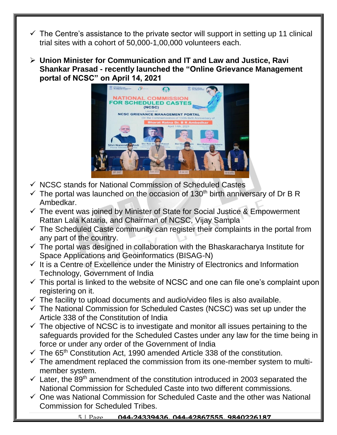- $\checkmark$  The Centre's assistance to the private sector will support in setting up 11 clinical trial sites with a cohort of 50,000-1,00,000 volunteers each.
- **Union Minister for Communication and IT and Law and Justice, Ravi Shankar Prasad - recently launched the "Online Grievance Management portal of NCSC" on April 14, 2021**



- $\checkmark$  NCSC stands for National Commission of Scheduled Castes
- $\checkmark$  The portal was launched on the occasion of 130<sup>th</sup> birth anniversary of Dr B R Ambedkar.
- $\checkmark$  The event was joined by Minister of State for Social Justice & Empowerment Rattan Lala Kataria, and Chairman of NCSC, Vijay Sampla
- $\checkmark$  The Scheduled Caste community can register their complaints in the portal from any part of the country.
- $\checkmark$  The portal was designed in collaboration with the Bhaskaracharya Institute for Space Applications and Geoinformatics (BISAG-N)
- $\checkmark$  It is a Centre of Excellence under the Ministry of Electronics and Information Technology, Government of India
- $\checkmark$  This portal is linked to the website of NCSC and one can file one's complaint upon registering on it.
- $\checkmark$  The facility to upload documents and audio/video files is also available.
- $\checkmark$  The National Commission for Scheduled Castes (NCSC) was set up under the Article 338 of the Constitution of India
- $\checkmark$  The objective of NCSC is to investigate and monitor all issues pertaining to the safeguards provided for the Scheduled Castes under any law for the time being in force or under any order of the Government of India
- $\checkmark$  The 65<sup>th</sup> Constitution Act, 1990 amended Article 338 of the constitution.
- $\checkmark$  The amendment replaced the commission from its one-member system to multimember system.
- $\checkmark$  Later, the 89<sup>th</sup> amendment of the constitution introduced in 2003 separated the National Commission for Scheduled Caste into two different commissions.
- $\checkmark$  One was National Commission for Scheduled Caste and the other was National Commission for Scheduled Tribes.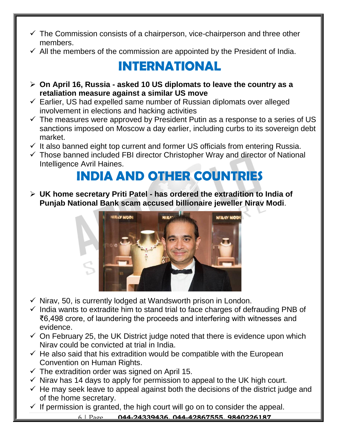- $\checkmark$  The Commission consists of a chairperson, vice-chairperson and three other members.
- $\checkmark$  All the members of the commission are appointed by the President of India.

## **INTERNATIONAL**

- **On April 16, Russia - asked 10 US diplomats to leave the country as a retaliation measure against a similar US move**
- $\checkmark$  Earlier, US had expelled same number of Russian diplomats over alleged involvement in elections and hacking activities
- $\checkmark$  The measures were approved by President Putin as a response to a series of US sanctions imposed on Moscow a day earlier, including curbs to its sovereign debt market.
- $\checkmark$  It also banned eight top current and former US officials from entering Russia.
- $\checkmark$  Those banned included FBI director Christopher Wray and director of National Intelligence Avril Haines.

# **INDIA AND OTHER COUNTRIES**

 **UK home secretary Priti Patel - has ordered the extradition to India of Punjab National Bank scam accused billionaire jeweller Nirav Modi**.



- $\checkmark$  Nirav, 50, is currently lodged at Wandsworth prison in London.
- $\checkmark$  India wants to extradite him to stand trial to face charges of defrauding PNB of ₹6,498 crore, of laundering the proceeds and interfering with witnesses and evidence.
- $\checkmark$  On February 25, the UK District judge noted that there is evidence upon which Nirav could be convicted at trial in India.
- $\checkmark$  He also said that his extradition would be compatible with the European Convention on Human Rights.
- $\checkmark$  The extradition order was signed on April 15.
- $\checkmark$  Nirav has 14 days to apply for permission to appeal to the UK high court.
- $\checkmark$  He may seek leave to appeal against both the decisions of the district judge and of the home secretary.
- $\checkmark$  If permission is granted, the high court will go on to consider the appeal.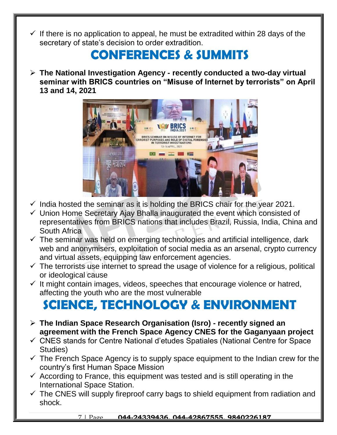If there is no application to appeal, he must be extradited within 28 days of the secretary of state's decision to order extradition.

### **CONFERENCES & SUMMITS**

 **The National Investigation Agency - recently conducted a two-day virtual seminar with BRICS countries on "Misuse of Internet by terrorists" on April 13 and 14, 2021**



- $\checkmark$  India hosted the seminar as it is holding the BRICS chair for the year 2021.
- $\checkmark$  Union Home Secretary Ajay Bhalla inaugurated the event which consisted of representatives from BRICS nations that includes Brazil, Russia, India, China and South Africa
- $\checkmark$  The seminar was held on emerging technologies and artificial intelligence, dark web and anonymisers, exploitation of social media as an arsenal, crypto currency and virtual assets, equipping law enforcement agencies.
- $\checkmark$  The terrorists use internet to spread the usage of violence for a religious, political or ideological cause
- $\checkmark$  It might contain images, videos, speeches that encourage violence or hatred, affecting the youth who are the most vulnerable

## **SCIENCE, TECHNOLOGY & ENVIRONMENT**

- **The Indian Space Research Organisation (Isro) - recently signed an agreement with the French Space Agency CNES for the Gaganyaan project**
- CNES stands for Centre National d'etudes Spatiales (National Centre for Space Studies)
- $\checkmark$  The French Space Agency is to supply space equipment to the Indian crew for the country's first Human Space Mission
- $\checkmark$  According to France, this equipment was tested and is still operating in the International Space Station.
- $\checkmark$  The CNES will supply fireproof carry bags to shield equipment from radiation and shock.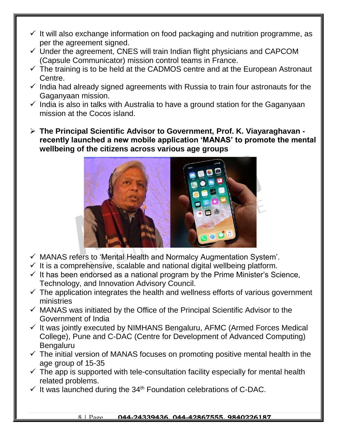- $\checkmark$  It will also exchange information on food packaging and nutrition programme, as per the agreement signed.
- $\checkmark$  Under the agreement, CNES will train Indian flight physicians and CAPCOM (Capsule Communicator) mission control teams in France.
- $\checkmark$  The training is to be held at the CADMOS centre and at the European Astronaut Centre.
- $\checkmark$  India had already signed agreements with Russia to train four astronauts for the Gaganyaan mission.
- $\checkmark$  India is also in talks with Australia to have a ground station for the Gaganyaan mission at the Cocos island.
- **The Principal Scientific Advisor to Government, Prof. K. Viayaraghavan recently launched a new mobile application 'MANAS' to promote the mental wellbeing of the citizens across various age groups**



- MANAS refers to 'Mental Health and Normalcy Augmentation System'.
- $\checkmark$  It is a comprehensive, scalable and national digital wellbeing platform.
- $\checkmark$  It has been endorsed as a national program by the Prime Minister's Science, Technology, and Innovation Advisory Council.
- $\checkmark$  The application integrates the health and wellness efforts of various government ministries
- $\checkmark$  MANAS was initiated by the Office of the Principal Scientific Advisor to the Government of India
- $\checkmark$  It was jointly executed by NIMHANS Bengaluru, AFMC (Armed Forces Medical College), Pune and C-DAC (Centre for Development of Advanced Computing) Bengaluru
- $\checkmark$  The initial version of MANAS focuses on promoting positive mental health in the age group of 15-35
- $\checkmark$  The app is supported with tele-consultation facility especially for mental health related problems.
- $\checkmark$  It was launched during the 34<sup>th</sup> Foundation celebrations of C-DAC.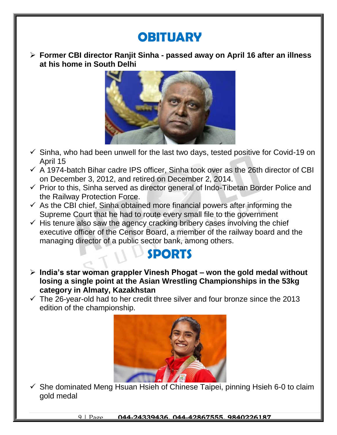## **OBITUARY**

 **Former CBI director Ranjit Sinha - passed away on April 16 after an illness at his home in South Delhi**



- $\checkmark$  Sinha, who had been unwell for the last two days, tested positive for Covid-19 on April 15
- $\checkmark$  A 1974-batch Bihar cadre IPS officer, Sinha took over as the 26th director of CBI on December 3, 2012, and retired on December 2, 2014.
- $\checkmark$  Prior to this, Sinha served as director general of Indo-Tibetan Border Police and the Railway Protection Force.
- $\checkmark$  As the CBI chief, Sinha obtained more financial powers after informing the Supreme Court that he had to route every small file to the government
- $\checkmark$  His tenure also saw the agency cracking bribery cases involving the chief executive officer of the Censor Board, a member of the railway board and the managing director of a public sector bank, among others.

#### **SPORTS**

- **India's star woman grappler Vinesh Phogat – won the gold medal without losing a single point at the Asian Wrestling Championships in the 53kg category in Almaty, Kazakhstan**
- $\checkmark$  The 26-year-old had to her credit three silver and four bronze since the 2013 edition of the championship.



 $\checkmark$  She dominated Meng Hsuan Hsieh of Chinese Taipei, pinning Hsieh 6-0 to claim gold medal